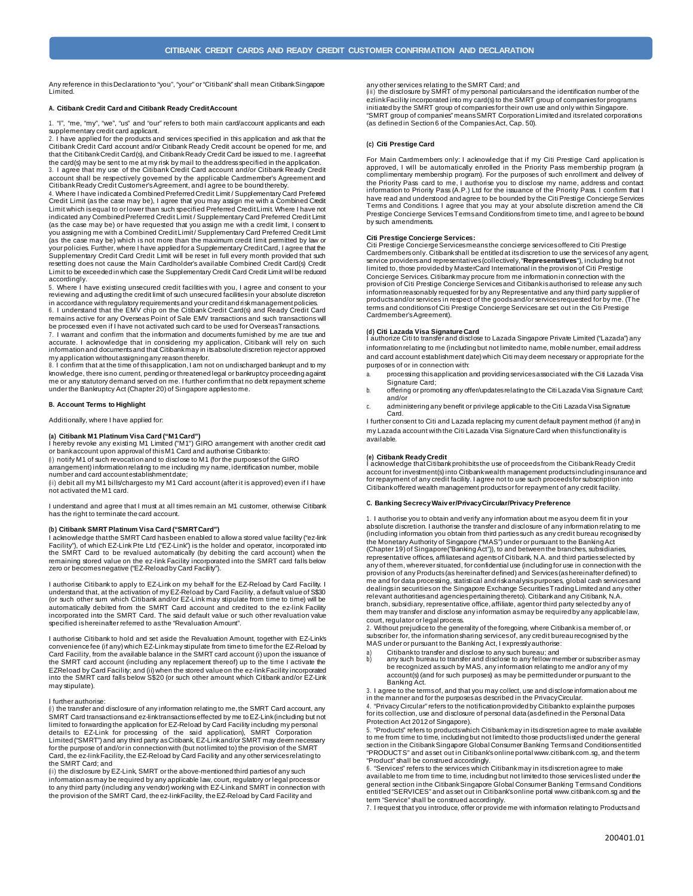Any reference in thisDeclaration to "you", "your" or "Citibank" shall mean CitibankSingapore Limited.

## **A. Citibank Credit Card and Citibank Ready CreditAccount**

1. "I", "me, "my", "we", "us" and "our" refers to both main card/account applicants and each supplementary credit card applicant. 2. I have applied for the products and services specified in this application and ask that the

Citibank Credit Card account and/or Citibank Ready Credit account be opened for me, and that the CitibankCredit Card(s), and CitibankReady Credit Card be issued to me. I agreethat the card(s) may be sent to me at my risk by mail to the addressspecified in the application. 3. I agree that my use of the Citibank Credit Card account and/or Citibank Ready Credit account shall be respectively governed by the applicable Cardmember's Agreement and Citibank Ready Credit Customer's Agreement, and I agree to be bound thereby.

4. Where I have indicated a CombinedPreferredCredit Limit / Supplementary Card Preferred Credit Limit (as the case may be), I agree that you may assign me with a Combined Credit Limit which is equal to or lower than such specified Preferred Credit Limit. Where I have not indicated any Combined Preferred Credit Limit / Supplementary Card Preferred Credit Limit (as the case may be) or have requested that you assign me with a credit limit, I consent to you assigning me with a Combined Credit Limit / Supplementary Card Preferred Credit Limit (as the case may be) which is not more than the maximum credit limit permitted by law or your policies. Further, where I have applied for a Supplementary CreditCard, I agree that the Supplementary Credit Card Credit Limit will be reset in full every month provided that such resetting does not cause the Main Cardholder's available Combined Credit Card(s) Credit Limit to be exceeded in which case the Supplementary Credit Card Credit Limit will be reduced accordingly.

5. Where I have existing unsecured credit facilities with you, I agree and consent to your reviewing and adjusting the credit limit of such unsecured facilitiesin your absolute discretion in accordance with regulatory requirementsand your creditand riskmanagementpolicies.

6. I understand that the EMV chip on the Citibank Credit Card(s) and Ready Credit Card remains active for any Overseas Point of Sale EMV transactions and such transactions will be processed even if I have not activated such card to be used for OverseasTransactions.

7. I warrant and confirm that the information and documents furnished by me are true and accurate. I acknowledge that in considering my application, Citibank will rely on such<br>informationand documentsand that Citibankmay in itsabsolutediscretion rejector approved my application without assigning any reason therefor.

8. I confirm that at the time of this application, I am not on undischarged bankrupt and to my knowledge, there isno current, pending or threatened legal or bankruptcy proceeding against me or any statutory demand served on me. I further confirm that no debt repayment scheme under the Bankruptcy Act (Chapter 20) of Singapore applies to me.

### **B. Account Terms to Highlight**

Additionally, where I have applied for:

## **(a) Citibank M1 Platinum Visa Card ("M1Card")**

I hereby revoke any existing M1 Limited ("M1") GIRO arrangement with another credit card or bank account upon approval of this M1 Card and authorise Citibank to:

 $(i)$  notify M1 of such revocation and to disclose to M1 (for the purposes of the GIRO

arrangement) information relating to me including my name, identification number, mobile number and card account establishmentdate; (ii) debit all my M1 bills/chargesto my M1 Card account (after it is approved) even if I have

not activated the M1 card.

I understand and agree that I must at all times remain an M1 customer, otherwise Citibank has the right to terminate the card account

## **(b) Citibank SMRT Platinum Visa Card ("SMRTCard")**

I acknowledge thatthe SMRT Card hasbeen enabled to allow a stored value facility ("ez-link Facility"), of which EZ-Link Pte Ltd ("EZ-Link") is the holder and operator, incorporated into the SMRT Card to be revalued automatically (by debiting the card account) when the remaining stored value on the ez-link Facility incorporated into the SMRT card falls below zero or becomes negative ("EZ-Reload by Card Facility").

I authorise Citibank to apply to EZ-Link on my behalf for the EZ-Reload by Card Facility. I<br>understand that, at the activation of my EZ-Reload by Card Facility, a default value of S\$30<br>(or such other sum which Citibank and automatically debited from the SMRT Card account and credited to the ez-link Facility incorporated into the SMRT Card. The said default value or such other revaluation value specified is hereinafter referred to as the "Revaluation Amount".

I authorise Citibank to hold and set aside the Revaluation Amount, together with EZ-Link's convenience fee (if any) which EZ-Link may stipulate from time to time for the EZ-Reload by Card Facility, from the available balance in the SMRT card account (i) upon the issuance of the SMRT card account (including any replacement thereof) up to the time I activate the EZReload by Card Facility; and (ii) when the stored value on the ez-link Facility incorporated into the SMRT card falls below S\$20 (or such other amount which Citibank and/or EZ-Link may stipulate).

## I further authorise:

 $(i)$  the transfer and disclosure of any information relating to me, the SMRT Card account, any  $(i)$ SMRT Card transactionsand ez-linktransactionseffected by me toEZ-Link(including but not limited to forwarding the application for EZ-Reload by Card Facility including my personal details to EZ-Link for processing of the said application), SMRT Corporation Limited ("SMRT") and any third party asCitibank, EZ-Linkand/or SMRT may deem necessary for the purpose of and/or in connection with (but not limited to) the provision of the SMRT Card, the ez-link Facility, the EZ-Reload by Card Facility and any other services relating to the SMRT Card; and

(ii) the disclosure by EZ-Link, SMRT or the above-mentioned third parties of any such information as may be required by any applicable law, court, regulatory or legal process or to any third party (including any vendor) working with EZ-Link and SMRT in connection with the provision of the SMRT Card, the ez-linkFacility, the EZ-Reload by Card Facility and

any other services relating to the SMRT Card; and<br>(iii) the disclosure by SMRT of my personal particulars and the identification number of the ezlink Facility incorporated into my card(s) to the SMRT group of companies for programs initiated by the SMRT group of companies for their own use and only within Singapore. "SMRT group of companies" means SMRT Corporation Limited and its related corporations (as defined in Section 6 of the Companies Act, Cap. 50).

### **(c) Citi Prestige Card**

For Main Cardmembers only: I acknowledge that if my Citi Prestige Card application is approved, I will be automatically enrolled in the Priority Pass membership program (a complimentary membership program). For the purposes of such enrollment and delivery of<br>the Priority Pass card to me, I authorise you to disclose my name, address and contad<br>information to Priority Pass (A.P.) Ltd for the i have read and understood and agree to be bounded by the Citi Prestige Concierge Services Terms and Conditions. I agree that you may at your absolute discretion amend the Citi Prestige Concierge Services Terms and Conditions from time to time, and I agree to be bound by such amendments.

**Citi Prestige Concierge Services:**<br>Citi Prestige Concierge Services meansthe concierge services offered to Citi Prestige<br>Cardmembers only. Citibankshall be entitled at its discretion to use the services of any agent,<br>serv limited to, those provided by MasterCard International in the provision of Citi Prestige Concierge Services. Citibank may procure from me information in connection with the provision of Citi Prestige Concierge Services and Citibank is authorised to release any such information reasonably requested for by any Representative and any third party supplier of products and/or services in respect of the goods and/or services requested for by me. (The terms and conditions of Citi Prestige Concierge Services are set out in the Citi Prestige Cardmember's Agreement).

**(d) Citi Lazada Visa Signature Card**<br>I authorize Citi to transfer and disclose to Lazada Singapore Private Limited ("Lazada") any information relating to me (including but not limited to name, mobile number, email address and card account establishment date) which Citi may deem necessary or appropriate for the purposes of or in connection with:

- processing this application and providing services associated with the Citi Lazada Visa Signature Card;
- b. offering or promoting any offer/updates relating to the Citi Lazada Visa Signature Card; and/or
- c. administering any benefit or privilege applicable to the Citi Lazada Visa Signature Card.

I further consent to Citi and Lazada replacing my current default payment method (if any) in my Lazada account with the Citi Lazada Visa Signature Card when this functionality is available.

**(e) Citibank Ready Credit**<br>I acknowledge that Citibank prohibits the use of proceeds from the Citibank Ready Credit<br>account for investment(s) into Citibank wealth management products including insurance and for repayment of any credit facility. I agree not to use such proceeds for subscription into Citibank offered wealth management products or for repayment of any credit facility.

### **C. Banking Secrecy Waiv er/PrivacyCircular/Privacy Preference**

1. I authorise you to obtain and verify any information about me as you deem fit in your absolute discretion. I authorise the transfer and disclosure of any information relating to me (including information you obtain from third parties such as any credit bureau recognised by the Monetary Authority of Singapore ("MAS") under or pursuant to the Banking Act (Chapter 19) of Singapore("Banking Act")), to and between the branches, subsidiaries, representative offices, affiliates and agents of Citibank, N.A. and third parties selected by any of them, wherever situated, for confidential use (including for use in connectionwith the provision of any Products (as hereinafter defined) and Services (as hereinafter defined) to me and for data processing, statistical and riskanalysis purposes, global cash services and<br>dealings in securities on the Singapore Exchange Securities Trading Limited and any other relevant authorities and agencies pertaining thereto). Citibank and any Citibank, N.A. branch, subsidiary, representative office, affiliate, agent or third party selected by any of them may transfer and disclose any information as may be required by any applicable law, court, regulator or legal process. 2. Without prejudice to the generality of the foregoing, where Citibankisa member of, or

subscriber for, the information sharing services of, any credit bureau recognised by the MAS under or pursuant to the Banking Act, I expresslyauthorise:

- 
- a) Citibank to transfer and disclose to any such bureau; and<br>b) any such bureau to transfer and disclose to any fellow member or subscriber as may<br>be recognized as such by MAS, any information relating to me and/or any of account(s) (and for such purposes) as may be permitted under or pursuant to the Banking Act.

3. I agree to the terms of, and that you may collect, use and disclose information about me

in the manner and for the purposes as described in the Privacy Circular.<br>4. "Privacy Circular" refers to the notification provided by Citibankto explain the purposes<br>for its collection, use and disclosure of personal data Protection Act 2012 of Singapore).

5. "Products" refers to products which Citibank may in its discretion agree to make available to me from time to time, including but not limited to those products listed under the general section in the Citibank Singapore Global Consumer Banking Terms and Conditions entitled "PRODUCTS" and as set out in Citibank's online port[al www.citibank.com.sg,](http://www.citibank.com.sg/) and the term

"Product" shall be construed accordingly. 6. "Services" refers to the services which Citibank may in its discretion agree to make available to me from time to time, including but not limited to those services listed under the general section in the Citibank Singapore Global Consumer Banking Terms and Conditions entitled "SERVICES" and as set out in Citibank's online port[al www.citibank.com.sg](http://www.citibank.com.sg/) and the term "Service" shall be construed accordingly.

7. I request that you introduce, offer or provide me with information relating to Productsand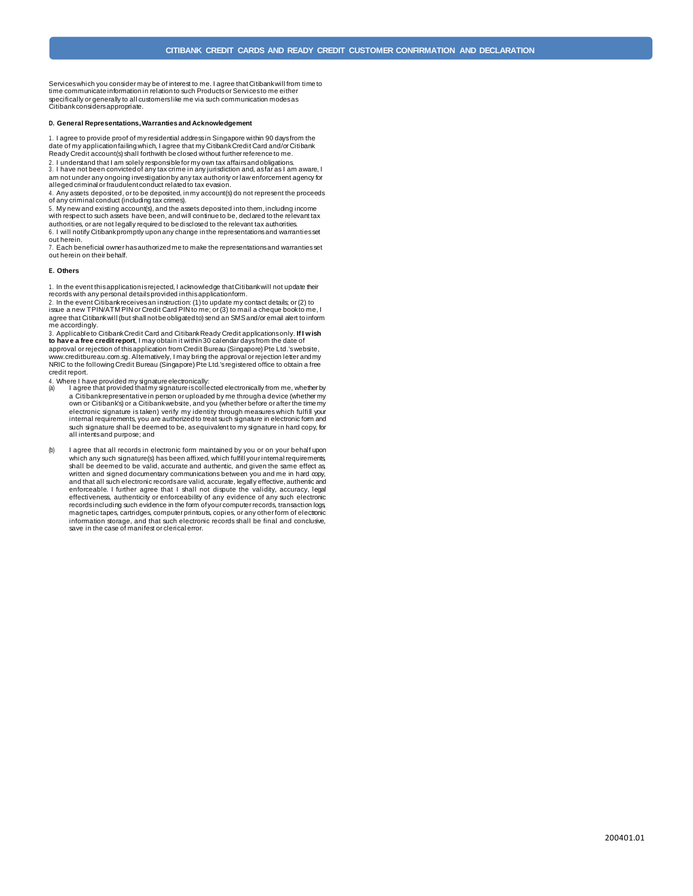Serviceswhich you consider may be of interest to me. I agree thatCitibankwill from time to time communicate information in relation to such Products or Services to me either specifically or generally to all customers like me via such communication modes as Citibank considersappropriate.

## **D. General Representations,Warranties and Acknowledgement**

1. I agree to provide proof of my residential addressin Singapore within 90 daysfrom the date of my application failing which, I agree that my Citibank Credit Card and/or Citibank Ready Credit account(s) shall forthwith be closed without further reference to me.

2. I understand that I am solely responsible for my own tax affairs and obligations.<br>3. I have not been convicted of any tax crime in any jurisdiction and, as far as I am aware, I am not under any ongoing investigation by any tax authority or law enforcement agency for

alleged criminal or fraudulent conduct related to tax evasion. 4. Any assets deposited, or to be deposited, in my account(s) do not represent the proceeds of any criminal conduct (including tax crimes).

5. My new and existing account(s), and the assets deposited into them, including income with respect to such assets have been, andwill continue to be, declared to the relevant tax authorities, or are not legally required to be disclosed to the relevant tax authorities.

6. I will notify Citibank promptly upon any change in the representations and warranties set out herein. 7. Each beneficial owner hasauthorized me to make the representationsand warrantiesset

out herein on their behalf.

### **E. Others**

1. In the event this application is rejected, I acknowledge that Citibank will not update their

records with any personal details provided in this applicationform. 2. In the event Citibank receives an instruction: (1) to update my contact details; or (2) to issue a new TPIN/ATM PIN or Credit Card PIN to me; or (3) to mail a cheque book to me, I agree that Citibankwill (but shall notbe obligated to) send an SMSand/or email alert to inform me accordingly.

3. Applicable to Citibank Credit Card and Citibank Ready Credit applications only. **If I wish to hav e a free credit report**, I may obtain it within 30 calendar days from the date of approval or rejection of this application from Credit Bureau (Singapore) Pte Ltd.'s website, [www.creditbureau.com.sg.](http://www.creditbureau.com.sg/) Alternatively, I may bring the approval or rejection letter and my NRIC to the following Credit Bureau (Singapore) Pte Ltd.'s registered office to obtain a free credit report.

- 4. Where I have provided my signature electronically: (a) I agree that provided that my signature is collected electronically from me, whether by a Citibank representative in person or uploaded by me through a device (whether my own or Citibank's) or a Citibank website, and you (whether before or after the time my electronic signature is taken) verify my identity through measures which fulfill your internal requirements, you are authorized to treat such signature in electronic form and such signature shall be deemed to be, as equivalent to my signature in hard copy, for all intents and purpose; and
- (b) I agree that all records in electronic form maintained by you or on your behalf upon which any such signature(s) has been affixed, which fulfill your internal requirements, shall be deemed to be valid, accurate and authentic, and given the same effect as, written and signed documentary communications between you and me in hard copy, and that all such electronic recordsare valid, accurate, legally effective,authentic and enforceable. I further agree that I shall not dispute the validity, accuracy, legal effectiveness, authenticity or enforceability of any evidence of any such electronic recordsincluding such evidence in the form ofyour computer records, transaction logs, magnetic tapes, cartridges, computer printouts, copies, or any other form of electronic information storage, and that such electronic records shall be final and conclusive, save in the case of manifest or clerical error.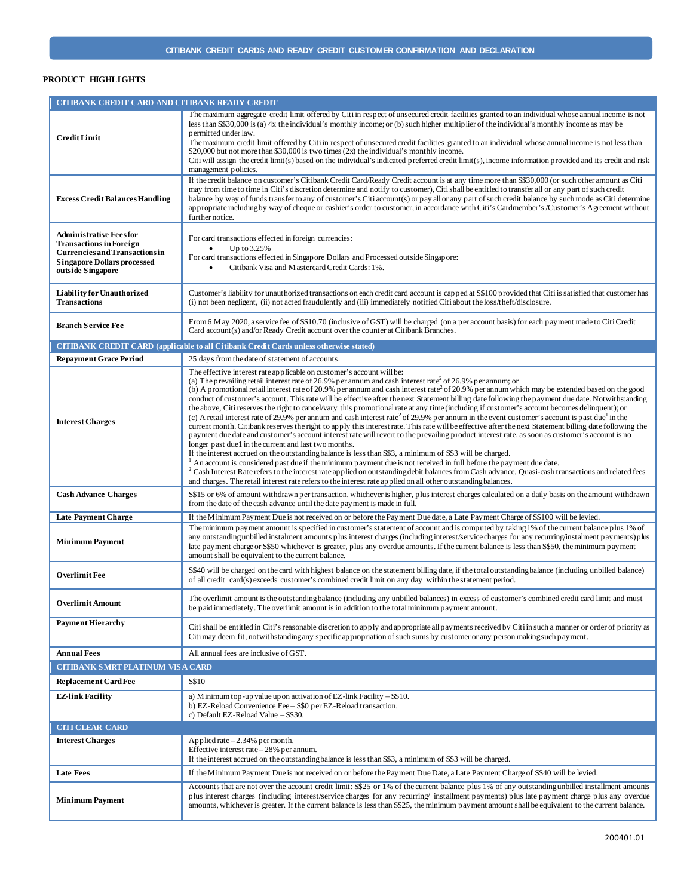# **PRODUCT HIGHLIGHTS**

| CITIBANK CREDIT CARD AND CITIBANK READY CREDIT                                                                                                                      |                                                                                                                                                                                                                                                                                                                                                                                                                                                                                                                                                                                                                                                                                                                                                                                                                                                                                                                                                                                                                                                                                                                                                                                                                                                                                                                                                                                                                                                                                                                                                                                                                                                                                                                               |  |
|---------------------------------------------------------------------------------------------------------------------------------------------------------------------|-------------------------------------------------------------------------------------------------------------------------------------------------------------------------------------------------------------------------------------------------------------------------------------------------------------------------------------------------------------------------------------------------------------------------------------------------------------------------------------------------------------------------------------------------------------------------------------------------------------------------------------------------------------------------------------------------------------------------------------------------------------------------------------------------------------------------------------------------------------------------------------------------------------------------------------------------------------------------------------------------------------------------------------------------------------------------------------------------------------------------------------------------------------------------------------------------------------------------------------------------------------------------------------------------------------------------------------------------------------------------------------------------------------------------------------------------------------------------------------------------------------------------------------------------------------------------------------------------------------------------------------------------------------------------------------------------------------------------------|--|
| <b>Credit Limit</b>                                                                                                                                                 | The maximum aggregate credit limit offered by Citi in respect of unsecured credit facilities granted to an individual whose annual income is not<br>less than \$\$30,000 is (a) 4x the individual's monthly income; or (b) such higher multiplier of the individual's monthly income as may be<br>permitted under law.<br>The maximum credit limit offered by Citi in respect of unsecured credit facilities granted to an individual whose annual income is not less than<br>\$20,000 but not more than \$30,000 is two times (2x) the individual's monthly income.<br>Citi will assign the credit limit(s) based on the individual's indicated preferred credit limit(s), income information provided and its credit and risk<br>management policies.                                                                                                                                                                                                                                                                                                                                                                                                                                                                                                                                                                                                                                                                                                                                                                                                                                                                                                                                                                       |  |
| <b>Excess Credit Balances Handling</b>                                                                                                                              | If the credit balance on customer's Citibank Credit Card/Ready Credit account is at any time more than \$\$30,000 (or such other amount as Citi<br>may from time to time in Citi's discretion determine and notify to customer), Citi shall be entitled to transfer all or any part of such credit<br>balance by way of funds transfer to any of customer's Citi account(s) or pay all or any part of such credit balance by such mode as Citi determine<br>appropriate including by way of cheque or cashier's order to customer, in accordance with Citi's Cardmember's /Customer's Agreement without<br>further notice.                                                                                                                                                                                                                                                                                                                                                                                                                                                                                                                                                                                                                                                                                                                                                                                                                                                                                                                                                                                                                                                                                                    |  |
| <b>Administrative Feesfor</b><br><b>Transactions in Foreign</b><br><b>Currencies and Transactions in</b><br><b>Singapore Dollars processed</b><br>outside Singapore | For card transactions effected in foreign currencies:<br>Up to 3.25%<br>$\bullet$<br>For card transactions effected in Singapore Dollars and Processed outside Singapore:<br>Citibank Visa and Mastercard Credit Cards: 1%.                                                                                                                                                                                                                                                                                                                                                                                                                                                                                                                                                                                                                                                                                                                                                                                                                                                                                                                                                                                                                                                                                                                                                                                                                                                                                                                                                                                                                                                                                                   |  |
| <b>Liability for Unauthorized</b><br><b>Transactions</b>                                                                                                            | Customer's liability for unauthorized transactions on each credit card account is capped at S\$100 provided that Citi is satisfied that customer has<br>(i) not been negligent, (ii) not acted fraudulently and (iii) immediately notified Citi about the loss/theft/disclosure.                                                                                                                                                                                                                                                                                                                                                                                                                                                                                                                                                                                                                                                                                                                                                                                                                                                                                                                                                                                                                                                                                                                                                                                                                                                                                                                                                                                                                                              |  |
| <b>Branch Service Fee</b>                                                                                                                                           | From 6 M ay 2020, a service fee of S\$10.70 (inclusive of GST) will be charged (on a per account basis) for each payment made to Citi Credit<br>Card account(s) and/or Ready Credit account over the counter at Citibank Branches.                                                                                                                                                                                                                                                                                                                                                                                                                                                                                                                                                                                                                                                                                                                                                                                                                                                                                                                                                                                                                                                                                                                                                                                                                                                                                                                                                                                                                                                                                            |  |
| <b>CITIBANK CREDIT CARD</b> (applicable to all Citibank Credit Cards unless otherwise stated)                                                                       |                                                                                                                                                                                                                                                                                                                                                                                                                                                                                                                                                                                                                                                                                                                                                                                                                                                                                                                                                                                                                                                                                                                                                                                                                                                                                                                                                                                                                                                                                                                                                                                                                                                                                                                               |  |
| <b>Repayment Grace Period</b>                                                                                                                                       | 25 days from the date of statement of accounts.                                                                                                                                                                                                                                                                                                                                                                                                                                                                                                                                                                                                                                                                                                                                                                                                                                                                                                                                                                                                                                                                                                                                                                                                                                                                                                                                                                                                                                                                                                                                                                                                                                                                               |  |
| <b>Interest Charges</b>                                                                                                                                             | The effective interest rate applicable on customer's account will be:<br>(a) The prevailing retail interest rate of 26.9% per annum and cash interest rate <sup>2</sup> of 26.9% per annum; or<br>(b) A promotional retail interest rate of 20.9% per annum and cash interest rate <sup>2</sup> of 20.9% per annum which may be extended based on the good<br>conduct of customer's account. This rate will be effective after the next Statement billing date following the payment due date. Notwithstanding<br>the above, Citi reserves the right to cancel/vary this promotional rate at any time (including if customer's account becomes delinquent); or<br>(c) A retail interest rate of 29.9% per annum and cash interest rate <sup>2</sup> of 29.9% per annum in the event customer's account is past due <sup>1</sup> in the<br>current month. Citibank reserves the right to apply this interest rate. This rate will be effective after the next Statement billing date following the<br>payment due date and customer's account interest rate will revert to the prevailing product interest rate, as soon as customer's account is no<br>longer past duel in the current and last two months.<br>If the interest accrued on the outstanding balance is less than S\$3, a minimum of S\$3 will be charged.<br>$1$ An account is considered past due if the minimum payment due is not received in full before the payment due date.<br>${}^{2}$ Cash Interest Rate refers to the interest rate applied on outstanding debit balances from Cash advance, Quasi-cash transactions and related fees<br>and charges. The retail interest rate refers to the interest rate applied on all other outstanding balances. |  |
| <b>Cash Advance Charges</b>                                                                                                                                         | S\$15 or 6% of amount withdrawn per transaction, whichever is higher, plus interest charges calculated on a daily basis on the amount withdrawn<br>from the date of the cash advance until the date payment is made in full.                                                                                                                                                                                                                                                                                                                                                                                                                                                                                                                                                                                                                                                                                                                                                                                                                                                                                                                                                                                                                                                                                                                                                                                                                                                                                                                                                                                                                                                                                                  |  |
| <b>Late Payment Charge</b>                                                                                                                                          | If the Minimum Payment Due is not received on or before the Payment Due date, a Late Payment Charge of S\$100 will be levied.                                                                                                                                                                                                                                                                                                                                                                                                                                                                                                                                                                                                                                                                                                                                                                                                                                                                                                                                                                                                                                                                                                                                                                                                                                                                                                                                                                                                                                                                                                                                                                                                 |  |
| <b>Minimum Payment</b>                                                                                                                                              | The minimum payment amount is specified in customer's statement of account and is computed by taking 1% of the current balance plus 1% of<br>any outstanding unbilled instalment amounts plus interest charges (including interest/service charges for any recurring/instalment payments) plus<br>late payment charge or \$\$50 whichever is greater, plus any overdue amounts. If the current balance is less than \$\$50, the minimum payment<br>amount shall be equivalent to the current balance.                                                                                                                                                                                                                                                                                                                                                                                                                                                                                                                                                                                                                                                                                                                                                                                                                                                                                                                                                                                                                                                                                                                                                                                                                         |  |
| Overlimit Fee                                                                                                                                                       | S\$40 will be charged on the card with highest balance on the statement billing date, if the total outstanding balance (including unbilled balance)<br>of all credit card(s) exceeds customer's combined credit limit on any day within the statement period.                                                                                                                                                                                                                                                                                                                                                                                                                                                                                                                                                                                                                                                                                                                                                                                                                                                                                                                                                                                                                                                                                                                                                                                                                                                                                                                                                                                                                                                                 |  |
| Overlimit Amount                                                                                                                                                    | The overlimit amount is the outstanding balance (including any unbilled balances) in excess of customer's combined credit card limit and must<br>be paid immediately. The overlimit amount is in addition to the total minimum payment amount.                                                                                                                                                                                                                                                                                                                                                                                                                                                                                                                                                                                                                                                                                                                                                                                                                                                                                                                                                                                                                                                                                                                                                                                                                                                                                                                                                                                                                                                                                |  |
| <b>Payment Hierarchy</b>                                                                                                                                            | Citi shall be entitled in Citi's reasonable discretion to apply and appropriate all payments received by Citi in such a manner or order of priority as<br>Citi may deem fit, notwithstanding any specific appropriation of such sums by customer or any person making such payment.                                                                                                                                                                                                                                                                                                                                                                                                                                                                                                                                                                                                                                                                                                                                                                                                                                                                                                                                                                                                                                                                                                                                                                                                                                                                                                                                                                                                                                           |  |
| <b>Annual Fees</b>                                                                                                                                                  | All annual fees are inclusive of GST.                                                                                                                                                                                                                                                                                                                                                                                                                                                                                                                                                                                                                                                                                                                                                                                                                                                                                                                                                                                                                                                                                                                                                                                                                                                                                                                                                                                                                                                                                                                                                                                                                                                                                         |  |
| CITIBANK SMRT PLATINUM VISA CARD                                                                                                                                    |                                                                                                                                                                                                                                                                                                                                                                                                                                                                                                                                                                                                                                                                                                                                                                                                                                                                                                                                                                                                                                                                                                                                                                                                                                                                                                                                                                                                                                                                                                                                                                                                                                                                                                                               |  |
| <b>Replacement Card Fee</b>                                                                                                                                         | S\$10                                                                                                                                                                                                                                                                                                                                                                                                                                                                                                                                                                                                                                                                                                                                                                                                                                                                                                                                                                                                                                                                                                                                                                                                                                                                                                                                                                                                                                                                                                                                                                                                                                                                                                                         |  |
| <b>EZ-link Facility</b>                                                                                                                                             | a) Minimum top-up value upon activation of EZ-link Facility $-S$10$ .<br>b) EZ-Reload Convenience Fee - S\$0 per EZ-Reload transaction.<br>c) Default EZ-Reload Value - S\$30.                                                                                                                                                                                                                                                                                                                                                                                                                                                                                                                                                                                                                                                                                                                                                                                                                                                                                                                                                                                                                                                                                                                                                                                                                                                                                                                                                                                                                                                                                                                                                |  |
| <b>CITI CLEAR CARD</b>                                                                                                                                              |                                                                                                                                                                                                                                                                                                                                                                                                                                                                                                                                                                                                                                                                                                                                                                                                                                                                                                                                                                                                                                                                                                                                                                                                                                                                                                                                                                                                                                                                                                                                                                                                                                                                                                                               |  |
| <b>Interest Charges</b>                                                                                                                                             | Applied rate $-2.34%$ per month.<br>Effective interest rate - 28% per annum.<br>If the interest accrued on the outstanding balance is less than S\$3, a minimum of S\$3 will be charged.                                                                                                                                                                                                                                                                                                                                                                                                                                                                                                                                                                                                                                                                                                                                                                                                                                                                                                                                                                                                                                                                                                                                                                                                                                                                                                                                                                                                                                                                                                                                      |  |
| <b>Late Fees</b>                                                                                                                                                    | If the M inimum Payment Due is not received on or before the Payment Due Date, a Late Payment Charge of \$\$40 will be levied.                                                                                                                                                                                                                                                                                                                                                                                                                                                                                                                                                                                                                                                                                                                                                                                                                                                                                                                                                                                                                                                                                                                                                                                                                                                                                                                                                                                                                                                                                                                                                                                                |  |
| <b>Minimum Payment</b>                                                                                                                                              | Accounts that are not over the account credit limit: S\$25 or 1% of the current balance plus 1% of any outstanding unbilled installment amounts<br>plus interest charges (including interest/service charges for any recurring/ installment payments) plus late payment charge plus any overdue<br>amounts, whichever is greater. If the current balance is less than S\$25, the minimum payment amount shall be equivalent to the current balance.                                                                                                                                                                                                                                                                                                                                                                                                                                                                                                                                                                                                                                                                                                                                                                                                                                                                                                                                                                                                                                                                                                                                                                                                                                                                           |  |